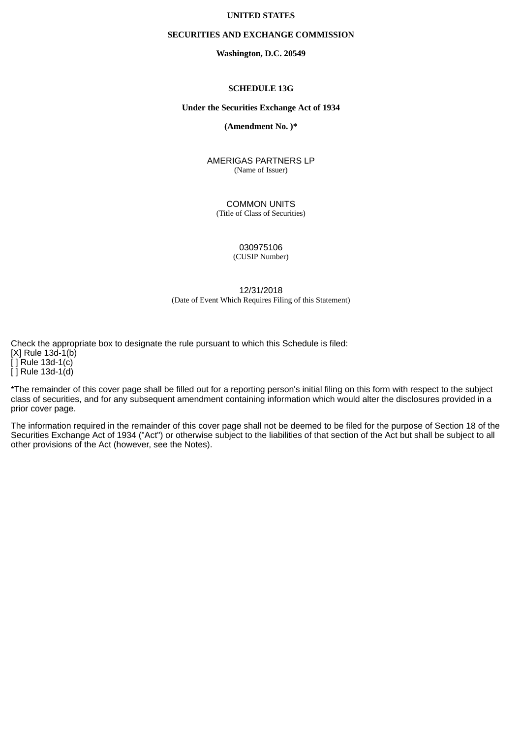## **UNITED STATES**

### **SECURITIES AND EXCHANGE COMMISSION**

**Washington, D.C. 20549**

#### **SCHEDULE 13G**

#### **Under the Securities Exchange Act of 1934**

**(Amendment No. )\***

AMERIGAS PARTNERS LP (Name of Issuer)

COMMON UNITS (Title of Class of Securities)

> 030975106 (CUSIP Number)

12/31/2018 (Date of Event Which Requires Filing of this Statement)

Check the appropriate box to designate the rule pursuant to which this Schedule is filed:  $[X]$  Rule  $13d-1(b)$  $\overline{[}$  ] Rule 13d-1(c)  $\overline{[}$  Rule 13d-1 $\overline{[}$ d)

\*The remainder of this cover page shall be filled out for a reporting person's initial filing on this form with respect to the subject class of securities, and for any subsequent amendment containing information which would alter the disclosures provided in a prior cover page.

The information required in the remainder of this cover page shall not be deemed to be filed for the purpose of Section 18 of the Securities Exchange Act of 1934 ("Act") or otherwise subject to the liabilities of that section of the Act but shall be subject to all other provisions of the Act (however, see the Notes).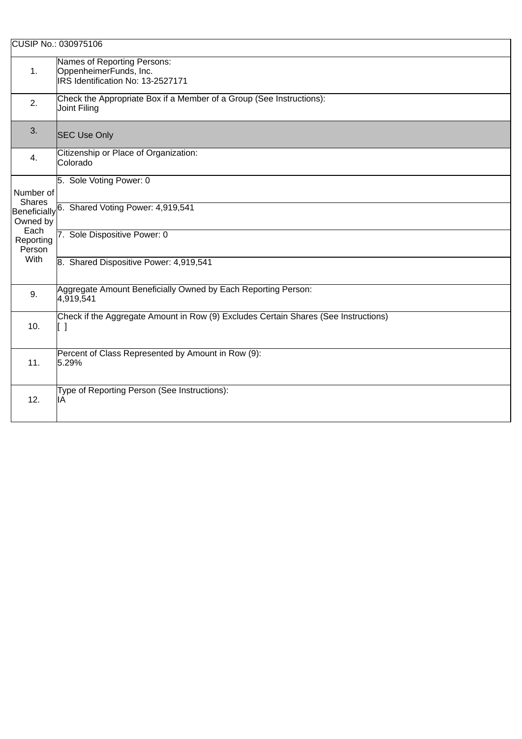|                                           | CUSIP No.: 030975106                                                                       |
|-------------------------------------------|--------------------------------------------------------------------------------------------|
| $\mathbf{1}$ .                            | Names of Reporting Persons:<br>OppenheimerFunds, Inc.<br>IRS Identification No: 13-2527171 |
| 2.                                        | Check the Appropriate Box if a Member of a Group (See Instructions):<br>Joint Filing       |
| 3.                                        | <b>SEC Use Only</b>                                                                        |
| 4.                                        | Citizenship or Place of Organization:<br>Colorado                                          |
| Number of                                 | 5. Sole Voting Power: 0                                                                    |
| <b>Shares</b><br>Beneficially<br>Owned by | 6. Shared Voting Power: 4,919,541                                                          |
| Each<br>Reporting<br>Person               | 7. Sole Dispositive Power: 0                                                               |
| With                                      | 8. Shared Dispositive Power: 4,919,541                                                     |
| 9.                                        | Aggregate Amount Beneficially Owned by Each Reporting Person:<br>4,919,541                 |
| 10.                                       | Check if the Aggregate Amount in Row (9) Excludes Certain Shares (See Instructions)<br>[]  |
| 11.                                       | Percent of Class Represented by Amount in Row (9):<br>5.29%                                |
| 12.                                       | Type of Reporting Person (See Instructions):<br>IA                                         |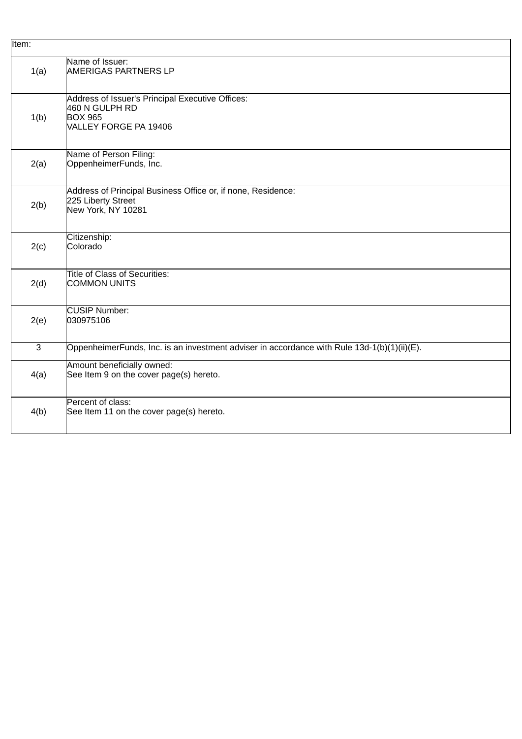| Item:          |                                                                                                               |
|----------------|---------------------------------------------------------------------------------------------------------------|
| 1(a)           | Name of Issuer:<br><b>AMERIGAS PARTNERS LP</b>                                                                |
| 1(b)           | Address of Issuer's Principal Executive Offices:<br>460 N GULPH RD<br><b>BOX 965</b><br>VALLEY FORGE PA 19406 |
| 2(a)           | Name of Person Filing:<br>OppenheimerFunds, Inc.                                                              |
| 2(b)           | Address of Principal Business Office or, if none, Residence:<br>225 Liberty Street<br>New York, NY 10281      |
| 2(c)           | Citizenship:<br>Colorado                                                                                      |
| 2(d)           | <b>Title of Class of Securities:</b><br><b>COMMON UNITS</b>                                                   |
| 2(e)           | CUSIP Number:<br>030975106                                                                                    |
| $\overline{3}$ | OppenheimerFunds, Inc. is an investment adviser in accordance with Rule 13d-1(b)(1)(ii)(E).                   |
| 4(a)           | Amount beneficially owned:<br>See Item 9 on the cover page(s) hereto.                                         |
| 4(b)           | Percent of class:<br>See Item 11 on the cover page(s) hereto.                                                 |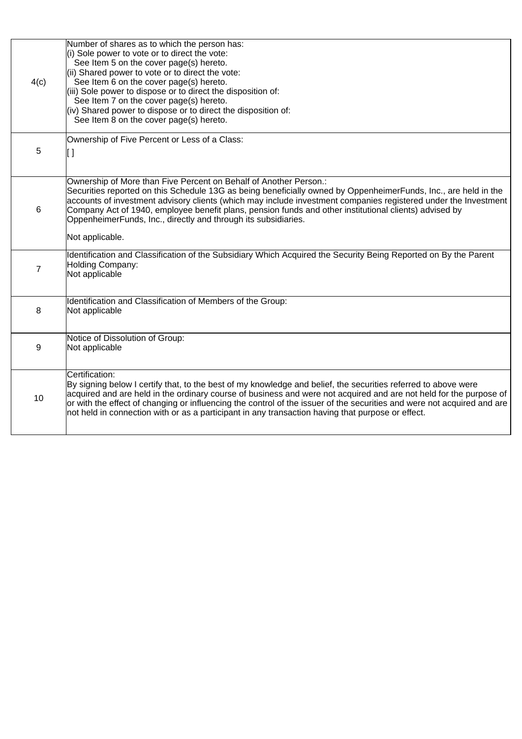| 4(c)           | Number of shares as to which the person has:<br>(i) Sole power to vote or to direct the vote:<br>See Item 5 on the cover page(s) hereto.<br>(ii) Shared power to vote or to direct the vote:<br>See Item 6 on the cover page(s) hereto.<br>(iii) Sole power to dispose or to direct the disposition of:<br>See Item 7 on the cover page(s) hereto.<br>(iv) Shared power to dispose or to direct the disposition of:<br>See Item 8 on the cover page(s) hereto.                                         |
|----------------|--------------------------------------------------------------------------------------------------------------------------------------------------------------------------------------------------------------------------------------------------------------------------------------------------------------------------------------------------------------------------------------------------------------------------------------------------------------------------------------------------------|
| 5              | Ownership of Five Percent or Less of a Class:<br>IJ                                                                                                                                                                                                                                                                                                                                                                                                                                                    |
| $\,6\,$        | Ownership of More than Five Percent on Behalf of Another Person.:<br>Securities reported on this Schedule 13G as being beneficially owned by OppenheimerFunds, Inc., are held in the<br>accounts of investment advisory clients (which may include investment companies registered under the Investment<br>Company Act of 1940, employee benefit plans, pension funds and other institutional clients) advised by<br>OppenheimerFunds, Inc., directly and through its subsidiaries.<br>Not applicable. |
|                |                                                                                                                                                                                                                                                                                                                                                                                                                                                                                                        |
| $\overline{7}$ | Identification and Classification of the Subsidiary Which Acquired the Security Being Reported on By the Parent<br>Holding Company:<br>Not applicable                                                                                                                                                                                                                                                                                                                                                  |
| 8              | Identification and Classification of Members of the Group:<br>Not applicable                                                                                                                                                                                                                                                                                                                                                                                                                           |
| 9              | Notice of Dissolution of Group:<br>Not applicable                                                                                                                                                                                                                                                                                                                                                                                                                                                      |
| 10             | Certification:<br>By signing below I certify that, to the best of my knowledge and belief, the securities referred to above were<br>acquired and are held in the ordinary course of business and were not acquired and are not held for the purpose of<br>or with the effect of changing or influencing the control of the issuer of the securities and were not acquired and are<br>not held in connection with or as a participant in any transaction having that purpose or effect.                 |